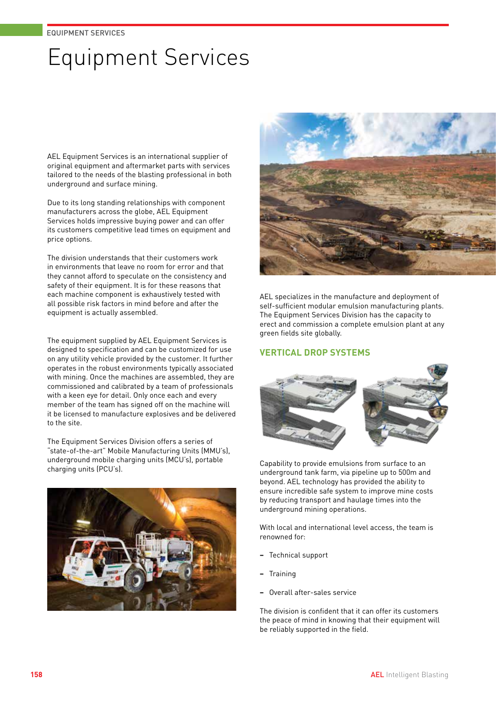# Equipment Services

AEL Equipment Services is an international supplier of original equipment and aftermarket parts with services tailored to the needs of the blasting professional in both underground and surface mining.

Due to its long standing relationships with component manufacturers across the globe, AEL Equipment Services holds impressive buying power and can offer its customers competitive lead times on equipment and price options.

The division understands that their customers work in environments that leave no room for error and that they cannot afford to speculate on the consistency and safety of their equipment. It is for these reasons that each machine component is exhaustively tested with all possible risk factors in mind before and after the equipment is actually assembled.

The equipment supplied by AEL Equipment Services is designed to specification and can be customized for use on any utility vehicle provided by the customer. It further operates in the robust environments typically associated with mining. Once the machines are assembled, they are commissioned and calibrated by a team of professionals with a keen eye for detail. Only once each and every member of the team has signed off on the machine will it be licensed to manufacture explosives and be delivered to the site.

The Equipment Services Division offers a series of "state-of-the-art" Mobile Manufacturing Units (MMU's), underground mobile charging units (MCU's), portable charging units (PCU's).





AEL specializes in the manufacture and deployment of self-sufficient modular emulsion manufacturing plants. The Equipment Services Division has the capacity to erect and commission a complete emulsion plant at any green fields site globally.

### **VERTICAL DROP SYSTEMS**



Capability to provide emulsions from surface to an underground tank farm, via pipeline up to 500m and beyond. AEL technology has provided the ability to ensure incredible safe system to improve mine costs by reducing transport and haulage times into the underground mining operations.

With local and international level access, the team is renowned for:

- **−** Technical support
- **−** Training
- **−** Overall after-sales service

The division is confident that it can offer its customers the peace of mind in knowing that their equipment will be reliably supported in the field.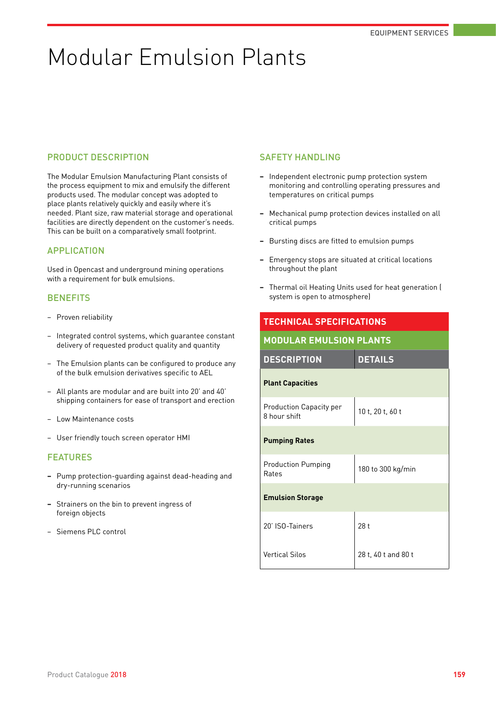# Modular Emulsion Plants

### PRODUCT DESCRIPTION

The Modular Emulsion Manufacturing Plant consists of the process equipment to mix and emulsify the different products used. The modular concept was adopted to place plants relatively quickly and easily where it's needed. Plant size, raw material storage and operational facilities are directly dependent on the customer's needs. This can be built on a comparatively small footprint.

### APPLICATION

Used in Opencast and underground mining operations with a requirement for bulk emulsions.

### **BENEFITS**

- − Proven reliability
- Integrated control systems, which guarantee constant delivery of requested product quality and quantity
- The Emulsion plants can be configured to produce any of the bulk emulsion derivatives specific to AEL
- − All plants are modular and are built into 20' and 40' shipping containers for ease of transport and erection
- − Low Maintenance costs
- − User friendly touch screen operator HMI

### FEATURES

- **−** Pump protection-guarding against dead-heading and dry-running scenarios
- **−** Strainers on the bin to prevent ingress of foreign objects
- − Siemens PLC control

### SAFETY HANDLING

- **−** Independent electronic pump protection system monitoring and controlling operating pressures and temperatures on critical pumps
- **−** Mechanical pump protection devices installed on all critical pumps
- **−** Bursting discs are fitted to emulsion pumps
- **−** Emergency stops are situated at critical locations throughout the plant
- **−** Thermal oil Heating Units used for heat generation ( system is open to atmosphere)

|                                                | <b>TECHNICAL SPECIFICATIONS</b> |  |
|------------------------------------------------|---------------------------------|--|
| <b>MODULAR EMULSION PLANTS</b>                 |                                 |  |
| <b>DESCRIPTION</b>                             | <b>DETAILS</b>                  |  |
| <b>Plant Capacities</b>                        |                                 |  |
| <b>Production Capacity per</b><br>8 hour shift | 10 t, 20 t, 60 t                |  |
| <b>Pumping Rates</b>                           |                                 |  |
| <b>Production Pumping</b><br>Rates             | 180 to 300 kg/min               |  |
| <b>Emulsion Storage</b>                        |                                 |  |
| 20' ISO-Tainers                                | 28 t                            |  |
| <b>Vertical Silos</b>                          | 28 t, 40 t and 80 t             |  |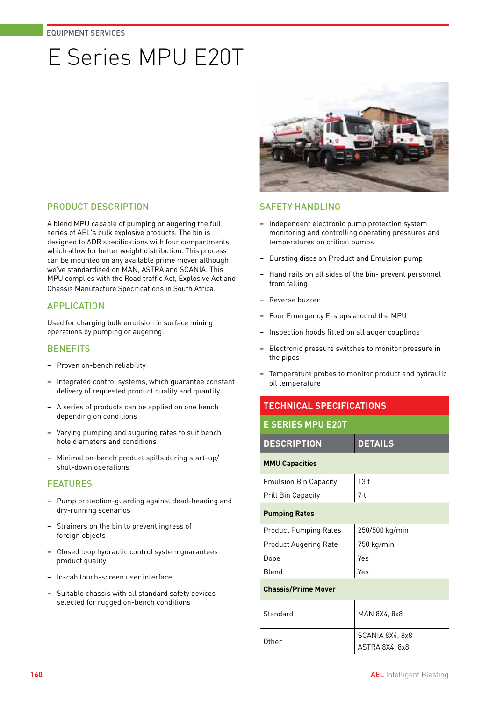# E Series MPU E20T



### PRODUCT DESCRIPTION

A blend MPU capable of pumping or augering the full series of AEL's bulk explosive products. The bin is designed to ADR specifications with four compartments, which allow for better weight distribution. This process can be mounted on any available prime mover although we've standardised on MAN, ASTRA and SCANIA. This MPU complies with the Road traffic Act, Explosive Act and Chassis Manufacture Specifications in South Africa.

### APPLICATION

Used for charging bulk emulsion in surface mining operations by pumping or augering.

### **BENEFITS**

- **−** Proven on-bench reliability
- **−** Integrated control systems, which guarantee constant delivery of requested product quality and quantity
- **−** A series of products can be applied on one bench depending on conditions
- **−** Varying pumping and auguring rates to suit bench hole diameters and conditions
- **−** Minimal on-bench product spills during start-up/ shut-down operations

### FEATURES

- **−** Pump protection-guarding against dead-heading and dry-running scenarios
- **−** Strainers on the bin to prevent ingress of foreign objects
- **−** Closed loop hydraulic control system guarantees product quality
- **−** In-cab touch-screen user interface
- **−** Suitable chassis with all standard safety devices selected for rugged on-bench conditions

### **SAFFTY HANDLING**

- **−** Independent electronic pump protection system monitoring and controlling operating pressures and temperatures on critical pumps
- **−** Bursting discs on Product and Emulsion pump
- **−** Hand rails on all sides of the bin- prevent personnel from falling
- **−** Reverse buzzer
- **−** Four Emergency E-stops around the MPU
- **−** Inspection hoods fitted on all auger couplings
- **−** Electronic pressure switches to monitor pressure in the pipes
- **−** Temperature probes to monitor product and hydraulic oil temperature

### **TECHNICAL SPECIFICATIONS**

| <b>E SERIES MPU E20T</b>     |                                   |  |
|------------------------------|-----------------------------------|--|
| <b>DESCRIPTION</b>           | <b>DETAILS</b>                    |  |
| <b>MMU Capacities</b>        |                                   |  |
| <b>Emulsion Bin Capacity</b> | 13t                               |  |
| <b>Prill Bin Capacity</b>    | 7 t                               |  |
| <b>Pumping Rates</b>         |                                   |  |
| <b>Product Pumping Rates</b> | 250/500 kg/min                    |  |
| <b>Product Augering Rate</b> | 750 kg/min                        |  |
| Dope                         | Yes                               |  |
| Blend                        | Yes                               |  |
| <b>Chassis/Prime Mover</b>   |                                   |  |
| Standard                     | MAN 8X4, 8x8                      |  |
| Other                        | SCANIA 8X4, 8x8<br>ASTRA 8X4, 8x8 |  |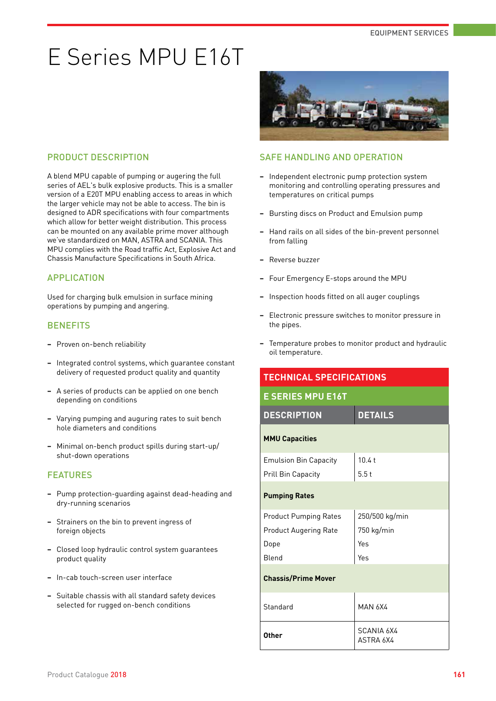# E Series MPU E16T

### PRODUCT DESCRIPTION

A blend MPU capable of pumping or augering the full series of AEL's bulk explosive products. This is a smaller version of a E20T MPU enabling access to areas in which the larger vehicle may not be able to access. The bin is designed to ADR specifications with four compartments which allow for better weight distribution. This process can be mounted on any available prime mover although we've standardized on MAN, ASTRA and SCANIA. This MPU complies with the Road traffic Act, Explosive Act and Chassis Manufacture Specifications in South Africa.

### APPLICATION

Used for charging bulk emulsion in surface mining operations by pumping and angering.

### **BENEFITS**

- **−** Proven on-bench reliability
- **−** Integrated control systems, which guarantee constant delivery of requested product quality and quantity
- **−** A series of products can be applied on one bench depending on conditions
- **−** Varying pumping and auguring rates to suit bench hole diameters and conditions
- **−** Minimal on-bench product spills during start-up/ shut-down operations

#### **FFATURES**

- **−** Pump protection-guarding against dead-heading and dry-running scenarios
- **−** Strainers on the bin to prevent ingress of foreign objects
- **−** Closed loop hydraulic control system guarantees product quality
- **−** In-cab touch-screen user interface
- **−** Suitable chassis with all standard safety devices selected for rugged on-bench conditions



### SAFE HANDLING AND OPERATION

- **−** Independent electronic pump protection system monitoring and controlling operating pressures and temperatures on critical pumps
- **−** Bursting discs on Product and Emulsion pump
- **−** Hand rails on all sides of the bin-prevent personnel from falling
- **−** Reverse buzzer
- **−** Four Emergency E-stops around the MPU
- **−** Inspection hoods fitted on all auger couplings
- **−** Electronic pressure switches to monitor pressure in the pipes.
- **−** Temperature probes to monitor product and hydraulic oil temperature.

| <b>TECHNICAL SPECIFICATIONS</b> |                         |  |
|---------------------------------|-------------------------|--|
| <b>E SERIES MPU E16T</b>        |                         |  |
| <b>DESCRIPTION</b>              | <b>DETAILS</b>          |  |
| <b>MMU Capacities</b>           |                         |  |
| <b>Emulsion Bin Capacity</b>    | 10.4t                   |  |
| <b>Prill Bin Capacity</b>       | 5.5t                    |  |
| <b>Pumping Rates</b>            |                         |  |
| <b>Product Pumping Rates</b>    | 250/500 kg/min          |  |
| <b>Product Augering Rate</b>    | 750 kg/min              |  |
| Dope                            | Yes                     |  |
| Blend                           | Yes                     |  |
| <b>Chassis/Prime Mover</b>      |                         |  |
| Standard                        | <b>MAN 6X4</b>          |  |
| Other                           | SCANIA 6X4<br>ASTRA 6X4 |  |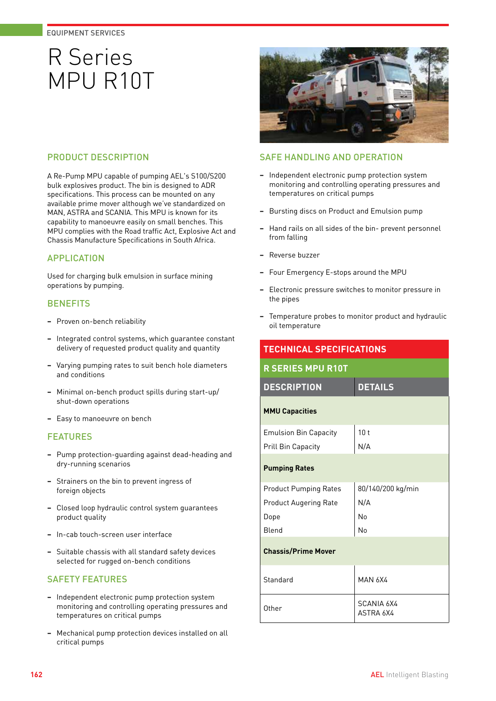## R Series MPU R10T



A Re-Pump MPU capable of pumping AEL's S100/S200 bulk explosives product. The bin is designed to ADR specifications. This process can be mounted on any available prime mover although we've standardized on MAN, ASTRA and SCANIA. This MPU is known for its capability to manoeuvre easily on small benches. This MPU complies with the Road traffic Act, Explosive Act and Chassis Manufacture Specifications in South Africa.

### APPLICATION

Used for charging bulk emulsion in surface mining operations by pumping.

### **BENEFITS**

- **−** Proven on-bench reliability
- **−** Integrated control systems, which guarantee constant delivery of requested product quality and quantity
- **−** Varying pumping rates to suit bench hole diameters and conditions
- **−** Minimal on-bench product spills during start-up/ shut-down operations
- **−** Easy to manoeuvre on bench

### FEATURES

- **−** Pump protection-guarding against dead-heading and dry-running scenarios
- **−** Strainers on the bin to prevent ingress of foreign objects
- **−** Closed loop hydraulic control system guarantees product quality
- **−** In-cab touch-screen user interface
- **−** Suitable chassis with all standard safety devices selected for rugged on-bench conditions

### SAFETY FEATURES

- **−** Independent electronic pump protection system monitoring and controlling operating pressures and temperatures on critical pumps
- **−** Mechanical pump protection devices installed on all critical pumps



### SAFE HANDLING AND OPERATION

- **−** Independent electronic pump protection system monitoring and controlling operating pressures and temperatures on critical pumps
- **−** Bursting discs on Product and Emulsion pump
- **−** Hand rails on all sides of the bin- prevent personnel from falling
- **−** Reverse buzzer
- **−** Four Emergency E-stops around the MPU
- **−** Electronic pressure switches to monitor pressure in the pipes
- **−** Temperature probes to monitor product and hydraulic oil temperature

| <b>TECHNICAL SPECIFICATIONS</b> |                                |  |
|---------------------------------|--------------------------------|--|
| <b>R SERIES MPU R10T</b>        |                                |  |
| <b>DESCRIPTION</b>              | <b>DETAILS</b>                 |  |
| <b>MMU Capacities</b>           |                                |  |
| <b>Emulsion Bin Capacity</b>    | 10 <sub>t</sub>                |  |
| Prill Bin Capacity              | N/A                            |  |
| <b>Pumping Rates</b>            |                                |  |
| <b>Product Pumping Rates</b>    | 80/140/200 kg/min              |  |
| <b>Product Augering Rate</b>    | N/A                            |  |
| Dope                            | No                             |  |
| Blend                           | No                             |  |
| <b>Chassis/Prime Mover</b>      |                                |  |
| Standard                        | <b>MAN 6X4</b>                 |  |
| Other                           | <b>SCANIA 6X4</b><br>ASTRA 6X4 |  |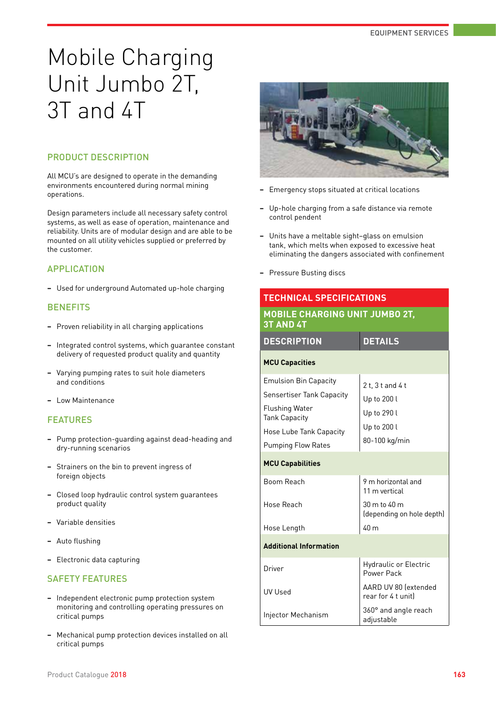# Mobile Charging Unit Jumbo 2T, 3T and 4T

### PRODUCT DESCRIPTION

All MCU's are designed to operate in the demanding environments encountered during normal mining operations.

Design parameters include all necessary safety control systems, as well as ease of operation, maintenance and reliability. Units are of modular design and are able to be mounted on all utility vehicles supplied or preferred by the customer.

### APPLICATION

**−** Used for underground Automated up-hole charging

### **BENEFITS**

- **−** Proven reliability in all charging applications
- **−** Integrated control systems, which guarantee constant delivery of requested product quality and quantity
- **−** Varying pumping rates to suit hole diameters and conditions
- **−** Low Maintenance

### FEATURES

- **−** Pump protection-guarding against dead-heading and dry-running scenarios
- **−** Strainers on the bin to prevent ingress of foreign objects
- **−** Closed loop hydraulic control system guarantees product quality
- **−** Variable densities
- **−** Auto flushing
- **−** Electronic data capturing

### SAFETY FEATURES

- **−** Independent electronic pump protection system monitoring and controlling operating pressures on critical pumps
- **−** Mechanical pump protection devices installed on all critical pumps



- **−** Emergency stops situated at critical locations
- **−** Up-hole charging from a safe distance via remote control pendent
- **−** Units have a meltable sight–glass on emulsion tank, which melts when exposed to excessive heat eliminating the dangers associated with confinement
- **−** Pressure Busting discs

### **TECHNICAL SPECIFICATIONS MOBILE CHARGING UNIT JUMBO 2T,**

| <b>3T AND 4T</b>                                                                                                                                                          |                                                                                |  |
|---------------------------------------------------------------------------------------------------------------------------------------------------------------------------|--------------------------------------------------------------------------------|--|
| <b>DESCRIPTION</b>                                                                                                                                                        | <b>DETAILS</b>                                                                 |  |
| <b>MCU Capacities</b>                                                                                                                                                     |                                                                                |  |
| <b>Emulsion Bin Capacity</b><br><b>Sensertiser Tank Capacity</b><br><b>Flushing Water</b><br><b>Tank Capacity</b><br>Hose Lube Tank Capacity<br><b>Pumping Flow Rates</b> | $2t.3t$ and $4t$<br>Up to 200 l<br>Up to 290 l<br>Up to 200 l<br>80-100 kg/min |  |
| <b>MCU Capabilities</b>                                                                                                                                                   |                                                                                |  |
| Boom Reach                                                                                                                                                                | 9 m horizontal and<br>11 m vertical                                            |  |
| Hose Reach                                                                                                                                                                | 30 m to 40 m<br>(depending on hole depth)                                      |  |
| Hose Length                                                                                                                                                               | 40 m                                                                           |  |
| <b>Additional Information</b>                                                                                                                                             |                                                                                |  |
| Driver                                                                                                                                                                    | <b>Hydraulic or Electric</b><br>Power Pack                                     |  |
| <b>UV Used</b>                                                                                                                                                            | AARD UV 80 lextended<br>rear for 4 t unit)                                     |  |
| Injector Mechanism                                                                                                                                                        | 360° and angle reach<br>adjustable                                             |  |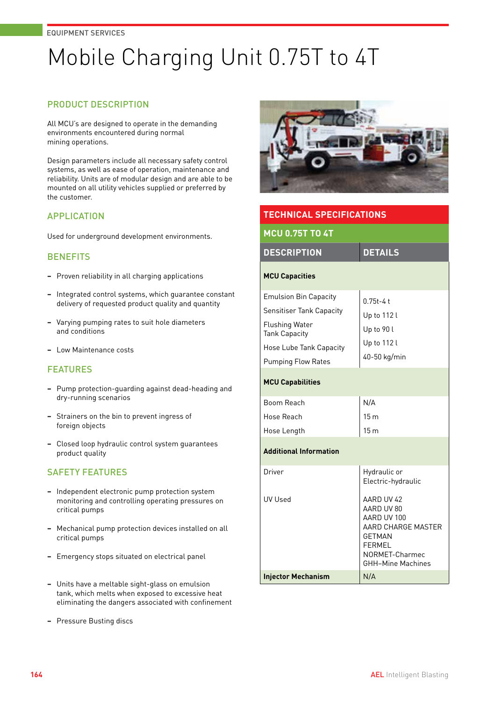# Mobile Charging Unit 0.75T to 4T

### PRODUCT DESCRIPTION

All MCU's are designed to operate in the demanding environments encountered during normal mining operations.

Design parameters include all necessary safety control systems, as well as ease of operation, maintenance and reliability. Units are of modular design and are able to be mounted on all utility vehicles supplied or preferred by the customer.

### APPLICATION

Used for underground development environments.

### **BENEFITS**

- **−** Proven reliability in all charging applications
- **−** Integrated control systems, which guarantee constant delivery of requested product quality and quantity
- **−** Varying pumping rates to suit hole diameters and conditions
- **−** Low Maintenance costs

### FEATURES

- **−** Pump protection-guarding against dead-heading and dry-running scenarios
- **−** Strainers on the bin to prevent ingress of foreign objects
- **−** Closed loop hydraulic control system guarantees product quality

- **−** Independent electronic pump protection system monitoring and controlling operating pressures on critical pumps
- **−** Mechanical pump protection devices installed on all critical pumps
- **−** Emergency stops situated on electrical panel
- **−** Units have a meltable sight-glass on emulsion tank, which melts when exposed to excessive heat eliminating the dangers associated with confinement
- **−** Pressure Busting discs



| <b>TECHNICAL SPECIFICATIONS</b>                                                                                                                                          |                                                                                                                                               |  |
|--------------------------------------------------------------------------------------------------------------------------------------------------------------------------|-----------------------------------------------------------------------------------------------------------------------------------------------|--|
| <b>MCU 0.75T TO 4T</b>                                                                                                                                                   |                                                                                                                                               |  |
| <b>DESCRIPTION</b>                                                                                                                                                       | <b>DETAILS</b>                                                                                                                                |  |
| <b>MCU Capacities</b>                                                                                                                                                    |                                                                                                                                               |  |
| <b>Emulsion Bin Capacity</b><br><b>Sensitiser Tank Capacity</b><br><b>Flushing Water</b><br><b>Tank Capacity</b><br>Hose Lube Tank Capacity<br><b>Pumping Flow Rates</b> | $0.75t - 4t$<br>Up to 112 l<br>Up to 90 l<br>Up to 112 l<br>40-50 kg/min                                                                      |  |
| <b>MCU Capabilities</b>                                                                                                                                                  |                                                                                                                                               |  |
| Boom Reach<br>Hose Reach<br>Hose Length                                                                                                                                  | N/A<br>15 <sub>m</sub><br>15 <sub>m</sub>                                                                                                     |  |
| <b>Additional Information</b>                                                                                                                                            |                                                                                                                                               |  |
| Driver                                                                                                                                                                   | Hydraulic or<br>Electric-hydraulic                                                                                                            |  |
| <b>UV Used</b>                                                                                                                                                           | AARD UV 42<br>AARD UV 80<br>AARD UV 100<br>AARD CHARGE MASTER<br><b>GETMAN</b><br><b>FERMEL</b><br>NORMET-Charmec<br><b>GHH-Mine Machines</b> |  |
| <b>Injector Mechanism</b>                                                                                                                                                | N/A                                                                                                                                           |  |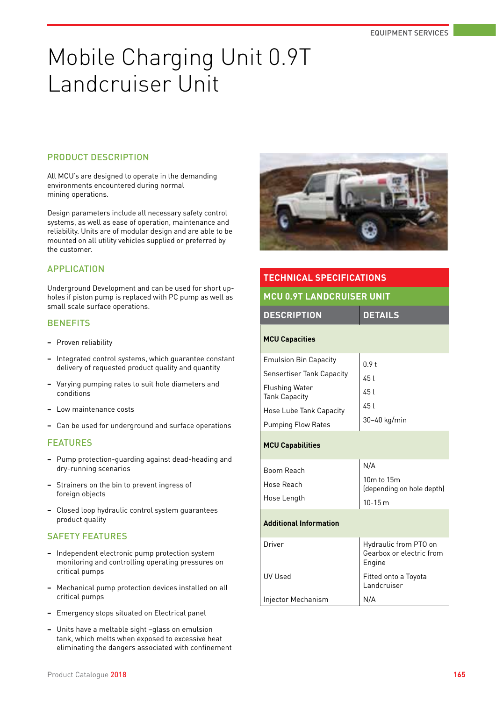## Mobile Charging Unit 0.9T Landcruiser Unit

### PRODUCT DESCRIPTION

All MCU's are designed to operate in the demanding environments encountered during normal mining operations.

Design parameters include all necessary safety control systems, as well as ease of operation, maintenance and reliability. Units are of modular design and are able to be mounted on all utility vehicles supplied or preferred by the customer.

#### APPLICATION

Underground Development and can be used for short upholes if piston pump is replaced with PC pump as well as small scale surface operations.

### **BENEFITS**

- **−** Proven reliability
- **−** Integrated control systems, which guarantee constant delivery of requested product quality and quantity
- **−** Varying pumping rates to suit hole diameters and conditions
- **−** Low maintenance costs
- **−** Can be used for underground and surface operations

#### **FEATURES**

- **−** Pump protection-guarding against dead-heading and dry-running scenarios
- **−** Strainers on the bin to prevent ingress of foreign objects
- **−** Closed loop hydraulic control system guarantees product quality

- **−** Independent electronic pump protection system monitoring and controlling operating pressures on critical pumps
- **−** Mechanical pump protection devices installed on all critical pumps
- **−** Emergency stops situated on Electrical panel
- **−** Units have a meltable sight –glass on emulsion tank, which melts when exposed to excessive heat eliminating the dangers associated with confinement



| <b>TECHNICAL SPECIFICATIONS</b>                                                                                                                                           |                                                             |  |
|---------------------------------------------------------------------------------------------------------------------------------------------------------------------------|-------------------------------------------------------------|--|
| <b>MCU 0.9T LANDCRUISER UNIT</b>                                                                                                                                          |                                                             |  |
| <b>DETAILS</b><br><b>DESCRIPTION</b>                                                                                                                                      |                                                             |  |
| <b>MCU Capacities</b>                                                                                                                                                     |                                                             |  |
| <b>Emulsion Bin Capacity</b><br><b>Sensertiser Tank Capacity</b><br><b>Flushing Water</b><br><b>Tank Capacity</b><br>Hose Lube Tank Capacity<br><b>Pumping Flow Rates</b> | 0.9 <sub>t</sub><br>451<br>45 I<br>45 l<br>30-40 kg/min     |  |
| <b>MCU Capabilities</b>                                                                                                                                                   |                                                             |  |
| Boom Reach<br>Hose Reach<br>Hose Length                                                                                                                                   | N/A<br>10m to 15m<br>(depending on hole depth)<br>$10-15 m$ |  |
| <b>Additional Information</b>                                                                                                                                             |                                                             |  |
| Driver                                                                                                                                                                    | Hydraulic from PTO on<br>Gearbox or electric from<br>Engine |  |
| <b>UV Used</b>                                                                                                                                                            | Fitted onto a Toyota<br>Landcruiser                         |  |
| Injector Mechanism                                                                                                                                                        | N/A                                                         |  |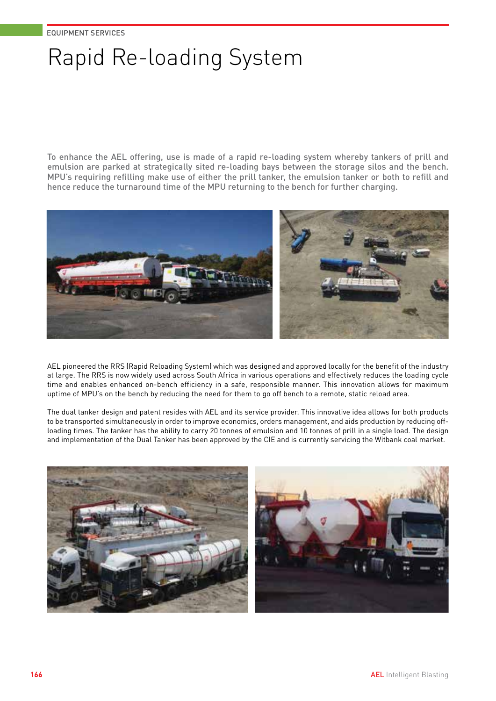# Rapid Re-loading System

To enhance the AEL offering, use is made of a rapid re-loading system whereby tankers of prill and emulsion are parked at strategically sited re-loading bays between the storage silos and the bench. MPU's requiring refilling make use of either the prill tanker, the emulsion tanker or both to refill and hence reduce the turnaround time of the MPU returning to the bench for further charging.



AEL pioneered the RRS (Rapid Reloading System) which was designed and approved locally for the benefit of the industry at large. The RRS is now widely used across South Africa in various operations and effectively reduces the loading cycle time and enables enhanced on-bench efficiency in a safe, responsible manner. This innovation allows for maximum uptime of MPU's on the bench by reducing the need for them to go off bench to a remote, static reload area.

The dual tanker design and patent resides with AEL and its service provider. This innovative idea allows for both products to be transported simultaneously in order to improve economics, orders management, and aids production by reducing offloading times. The tanker has the ability to carry 20 tonnes of emulsion and 10 tonnes of prill in a single load. The design and implementation of the Dual Tanker has been approved by the CIE and is currently servicing the Witbank coal market.



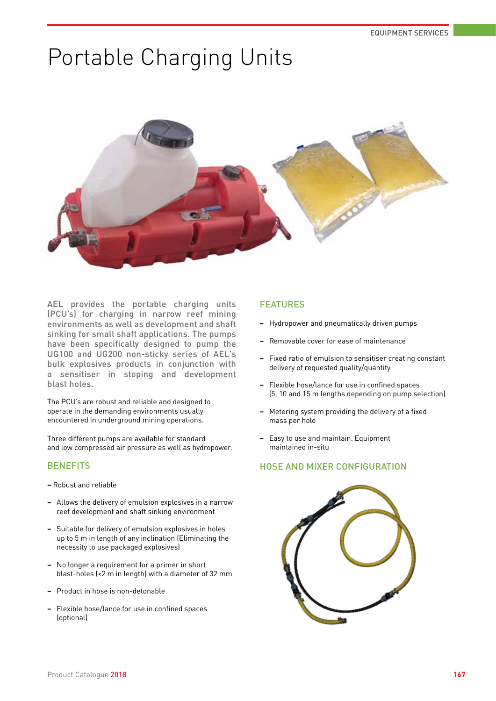## Portable Charging Units



AEL provides the portable charging units (PCU's) for charging in narrow reef mining environments as well as development and shaft sinking for small shaft applications. The pumps have been specifically designed to pump the UG100 and UG200 non-sticky series of AEL's bulk explosives products in conjunction with a sensitiser in stoping and development blast holes.

The PCU's are robust and reliable and designed to operate in the demanding environments usually encountered in underground mining operations.

Three different pumps are available for standard and low compressed air pressure as well as hydropower.

### **BENEFITS**

- **−** Robust and reliable
- **−** Allows the delivery of emulsion explosives in a narrow reef development and shaft sinking environment
- **−** Suitable for delivery of emulsion explosives in holes up to 5 m in length of any inclination (Eliminating the necessity to use packaged explosives)
- **−** No longer a requirement for a primer in short blast-holes (<2 m in length) with a diameter of 32 mm
- **−** Product in hose is non-detonable
- **−** Flexible hose/lance for use in confined spaces (optional)

### FEATURES

- **−** Hydropower and pneumatically driven pumps
- **−** Removable cover for ease of maintenance
- **−** Fixed ratio of emulsion to sensitiser creating constant delivery of requested quality/quantity
- **−** Flexible hose/lance for use in confined spaces (5, 10 and 15 m lengths depending on pump selection)
- **−** Metering system providing the delivery of a fixed mass per hole
- **−** Easy to use and maintain. Equipment maintained in-situ

### HOSE AND MIXER CONFIGURATION

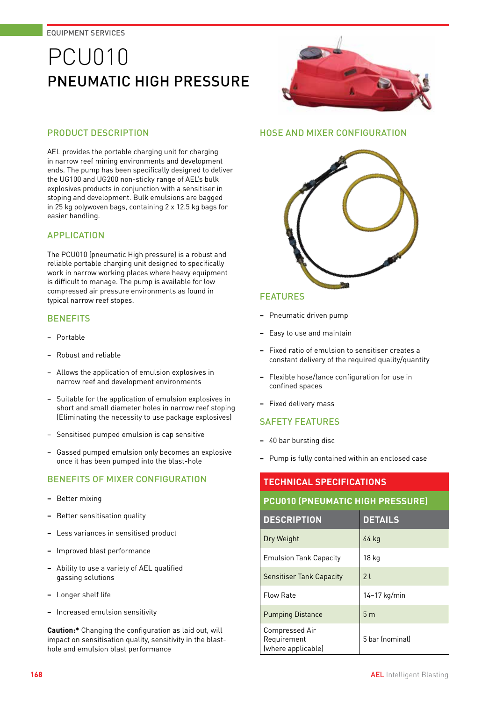## PCU010 PNEUMATIC HIGH PRESSURE

### PRODUCT DESCRIPTION

AEL provides the portable charging unit for charging in narrow reef mining environments and development ends. The pump has been specifically designed to deliver the UG100 and UG200 non-sticky range of AEL's bulk explosives products in conjunction with a sensitiser in stoping and development. Bulk emulsions are bagged in 25 kg polywoven bags, containing 2 x 12.5 kg bags for easier handling.

### APPLICATION

The PCU010 (pneumatic High pressure) is a robust and reliable portable charging unit designed to specifically work in narrow working places where heavy equipment is difficult to manage. The pump is available for low compressed air pressure environments as found in typical narrow reef stopes.

### **BENEFITS**

- − Portable
- − Robust and reliable
- − Allows the application of emulsion explosives in narrow reef and development environments
- − Suitable for the application of emulsion explosives in short and small diameter holes in narrow reef stoping (Eliminating the necessity to use package explosives)
- − Sensitised pumped emulsion is cap sensitive
- − Gassed pumped emulsion only becomes an explosive once it has been pumped into the blast-hole

### BENEFITS OF MIXER CONFIGURATION

- **−** Better mixing
- **−** Better sensitisation quality
- **−** Less variances in sensitised product
- **−** Improved blast performance
- **−** Ability to use a variety of AEL qualified gassing solutions
- **−** Longer shelf life
- **−** Increased emulsion sensitivity

**Caution:\*** Changing the configuration as laid out, will impact on sensitisation quality, sensitivity in the blasthole and emulsion blast performance



### HOSE AND MIXER CONFIGURATION



### FEATURES

- **−** Pneumatic driven pump
- **−** Easy to use and maintain
- **−** Fixed ratio of emulsion to sensitiser creates a constant delivery of the required quality/quantity
- **−** Flexible hose/lance configuration for use in confined spaces
- **−** Fixed delivery mass

### SAFETY FEATURES

- **−** 40 bar bursting disc
- **−** Pump is fully contained within an enclosed case

### **TECHNICAL SPECIFICATIONS PCU010 (PNEUMATIC HIGH PRESSURE)**

| <b>DESCRIPTION</b>                                  | <b>DETAILS</b>  |
|-----------------------------------------------------|-----------------|
| Dry Weight                                          | 44 kg           |
| <b>Emulsion Tank Capacity</b>                       | 18 kg           |
| Sensitiser Tank Capacity                            | 21              |
| <b>Flow Rate</b>                                    | $14-17$ kg/min  |
| <b>Pumping Distance</b>                             | 5 <sub>m</sub>  |
| Compressed Air<br>Requirement<br>(where applicable) | 5 bar (nominal) |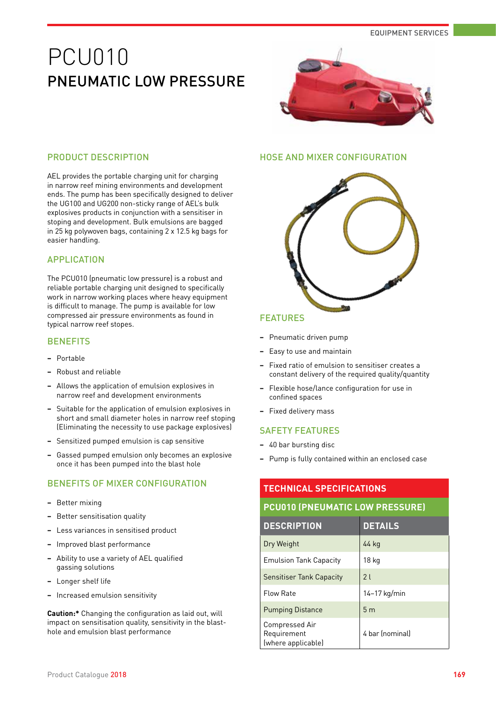### PCU010 PNFUMATIC LOW PRESSURE



### PRODUCT DESCRIPTION

AEL provides the portable charging unit for charging in narrow reef mining environments and development ends. The pump has been specifically designed to deliver the UG100 and UG200 non-sticky range of AEL's bulk explosives products in conjunction with a sensitiser in stoping and development. Bulk emulsions are bagged in 25 kg polywoven bags, containing 2 x 12.5 kg bags for easier handling.

### APPLICATION

The PCU010 (pneumatic low pressure) is a robust and reliable portable charging unit designed to specifically work in narrow working places where heavy equipment is difficult to manage. The pump is available for low compressed air pressure environments as found in typical narrow reef stopes.

#### **BENEFITS**

- **−** Portable
- **−** Robust and reliable
- **−** Allows the application of emulsion explosives in narrow reef and development environments
- **−** Suitable for the application of emulsion explosives in short and small diameter holes in narrow reef stoping (Eliminating the necessity to use package explosives)
- **−** Sensitized pumped emulsion is cap sensitive
- **−** Gassed pumped emulsion only becomes an explosive once it has been pumped into the blast hole

### BENEFITS OF MIXER CONFIGURATION

- **−** Better mixing
- **−** Better sensitisation quality
- **−** Less variances in sensitised product
- **−** Improved blast performance
- **−** Ability to use a variety of AEL qualified gassing solutions
- **−** Longer shelf life
- **−** Increased emulsion sensitivity

**Caution:\*** Changing the configuration as laid out, will impact on sensitisation quality, sensitivity in the blasthole and emulsion blast performance

### HOSE AND MIXER CONFIGURATION



#### FEATURES

- **−** Pneumatic driven pump
- **−** Easy to use and maintain
- **−** Fixed ratio of emulsion to sensitiser creates a constant delivery of the required quality/quantity
- **−** Flexible hose/lance configuration for use in confined spaces
- **−** Fixed delivery mass

#### SAFETY FEATURES

- **−** 40 bar bursting disc
- **−** Pump is fully contained within an enclosed case

### **TECHNICAL SPECIFICATIONS**

### **PCU010 (PNEUMATIC LOW PRESSURE)**

| <b>DESCRIPTION</b>                                  | <b>DETAILS</b>  |
|-----------------------------------------------------|-----------------|
| Dry Weight                                          | 44 kg           |
| <b>Emulsion Tank Capacity</b>                       | 18 kg           |
| <b>Sensitiser Tank Capacity</b>                     | 21              |
| Flow Rate                                           | $14-17$ kg/min  |
| <b>Pumping Distance</b>                             | 5 <sub>m</sub>  |
| Compressed Air<br>Requirement<br>(where applicable) | 4 bar (nominal) |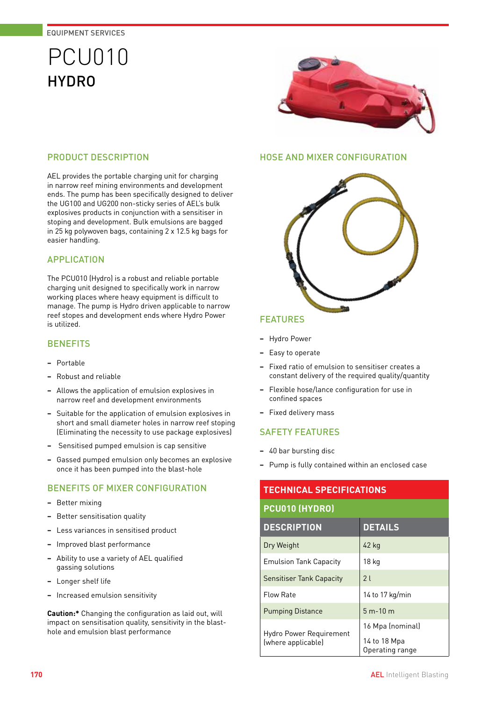## PCU010 HYDRO



### PRODUCT DESCRIPTION

AEL provides the portable charging unit for charging in narrow reef mining environments and development ends. The pump has been specifically designed to deliver the UG100 and UG200 non-sticky series of AEL's bulk explosives products in conjunction with a sensitiser in stoping and development. Bulk emulsions are bagged in 25 kg polywoven bags, containing 2 x 12.5 kg bags for easier handling.

### APPLICATION

The PCU010 (Hydro) is a robust and reliable portable charging unit designed to specifically work in narrow working places where heavy equipment is difficult to manage. The pump is Hydro driven applicable to narrow reef stopes and development ends where Hydro Power is utilized.

### **BENEFITS**

- **−** Portable
- **−** Robust and reliable
- **−** Allows the application of emulsion explosives in narrow reef and development environments
- **−** Suitable for the application of emulsion explosives in short and small diameter holes in narrow reef stoping (Eliminating the necessity to use package explosives)
- **−** Sensitised pumped emulsion is cap sensitive
- **−** Gassed pumped emulsion only becomes an explosive once it has been pumped into the blast-hole

### BENEFITS OF MIXER CONFIGURATION

- **−** Better mixing
- **−** Better sensitisation quality
- **−** Less variances in sensitised product
- **−** Improved blast performance
- **−** Ability to use a variety of AEL qualified gassing solutions
- **−** Longer shelf life
- **−** Increased emulsion sensitivity

**Caution:\*** Changing the configuration as laid out, will impact on sensitisation quality, sensitivity in the blasthole and emulsion blast performance

### HOSE AND MIXER CONFIGURATION



### FEATURES

- **−** Hydro Power
- **−** Easy to operate
- **−** Fixed ratio of emulsion to sensitiser creates a constant delivery of the required quality/quantity
- **−** Flexible hose/lance configuration for use in confined spaces
- **−** Fixed delivery mass

### SAFETY FEATURES

- **−** 40 bar bursting disc
- **−** Pump is fully contained within an enclosed case

### **TECHNICAL SPECIFICATIONS PCU010 (HYDRO) DESCRIPTION DETAILS** Dry Weight 20 2 2 kg Emulsion Tank Capacity | 18 kg Sensitiser Tank Capacity | 2 l

Flow Rate 14 to 17 kg/min Pumping Distance | 5 m-10 m Hydro Power Requirement (where applicable) 16 Mpa (nominal) 14 to 18 Mpa Operating range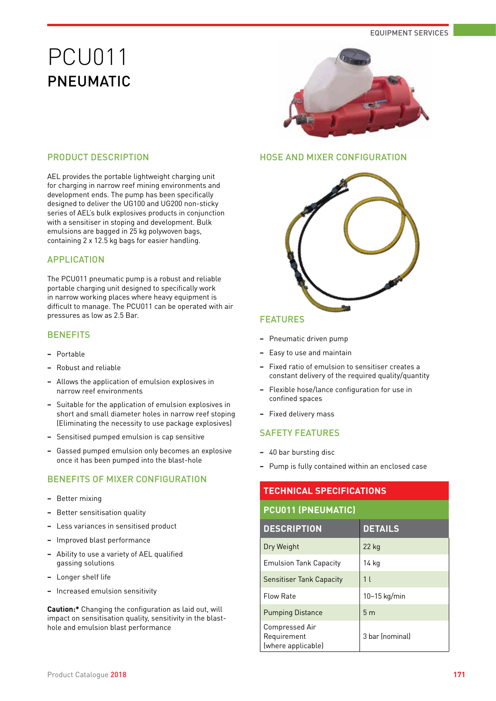## PCU011 PNEUMATIC



### PRODUCT DESCRIPTION

AEL provides the portable lightweight charging unit for charging in narrow reef mining environments and development ends. The pump has been specifically designed to deliver the UG100 and UG200 non-sticky series of AEL's bulk explosives products in conjunction with a sensitiser in stoping and development. Bulk emulsions are bagged in 25 kg polywoven bags, containing 2 x 12.5 kg bags for easier handling.

### APPLICATION

The PCU011 pneumatic pump is a robust and reliable portable charging unit designed to specifically work in narrow working places where heavy equipment is difficult to manage. The PCU011 can be operated with air pressures as low as 2.5 Bar.

### **BENEFITS**

- **−** Portable
- **−** Robust and reliable
- **−** Allows the application of emulsion explosives in narrow reef environments
- **−** Suitable for the application of emulsion explosives in short and small diameter holes in narrow reef stoping (Eliminating the necessity to use package explosives)
- **−** Sensitised pumped emulsion is cap sensitive
- **−** Gassed pumped emulsion only becomes an explosive once it has been pumped into the blast-hole

### BENEFITS OF MIXER CONFIGURATION

- **−** Better mixing
- **−** Better sensitisation quality
- **−** Less variances in sensitised product
- **−** Improved blast performance
- **−** Ability to use a variety of AEL qualified gassing solutions
- **−** Longer shelf life
- **−** Increased emulsion sensitivity

**Caution:\*** Changing the configuration as laid out, will impact on sensitisation quality, sensitivity in the blasthole and emulsion blast performance

### HOSE AND MIXER CONFIGURATION



### FEATURES

- **−** Pneumatic driven pump
- **−** Easy to use and maintain
- **−** Fixed ratio of emulsion to sensitiser creates a constant delivery of the required quality/quantity
- **−** Flexible hose/lance configuration for use in confined spaces
- **−** Fixed delivery mass

- **−** 40 bar bursting disc
- **−** Pump is fully contained within an enclosed case

| <b>TECHNICAL SPECIFICATIONS</b>                     |                 |
|-----------------------------------------------------|-----------------|
| <b>PCU011 (PNEUMATIC)</b>                           |                 |
| <b>DESCRIPTION</b>                                  | <b>DETAILS</b>  |
| Dry Weight                                          | $22$ kg         |
| <b>Emulsion Tank Capacity</b>                       | 14 kg           |
| <b>Sensitiser Tank Capacity</b>                     | 1 <sup>1</sup>  |
| Flow Rate                                           | $10-15$ kg/min  |
| <b>Pumping Distance</b>                             | 5 <sub>m</sub>  |
| Compressed Air<br>Requirement<br>(where applicable) | 3 bar (nominal) |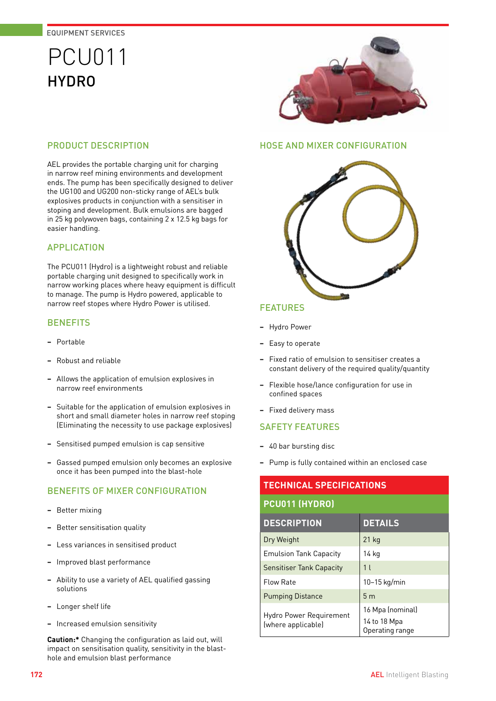## PCU011 **HYDRO**

### PRODUCT DESCRIPTION

AEL provides the portable charging unit for charging in narrow reef mining environments and development ends. The pump has been specifically designed to deliver the UG100 and UG200 non-sticky range of AEL's bulk explosives products in conjunction with a sensitiser in stoping and development. Bulk emulsions are bagged in 25 kg polywoven bags, containing 2 x 12.5 kg bags for easier handling.

### APPLICATION

The PCU011 (Hydro) is a lightweight robust and reliable portable charging unit designed to specifically work in narrow working places where heavy equipment is difficult to manage. The pump is Hydro powered, applicable to narrow reef stopes where Hydro Power is utilised.

### **BENEFITS**

- **−** Portable
- **−** Robust and reliable
- **−** Allows the application of emulsion explosives in narrow reef environments
- **−** Suitable for the application of emulsion explosives in short and small diameter holes in narrow reef stoping (Eliminating the necessity to use package explosives)
- **−** Sensitised pumped emulsion is cap sensitive
- **−** Gassed pumped emulsion only becomes an explosive once it has been pumped into the blast-hole

### BENEFITS OF MIXER CONFIGURATION

- **−** Better mixing
- **−** Better sensitisation quality
- **−** Less variances in sensitised product
- **−** Improved blast performance
- **−** Ability to use a variety of AEL qualified gassing solutions
- **−** Longer shelf life
- **−** Increased emulsion sensitivity

**Caution:\*** Changing the configuration as laid out, will impact on sensitisation quality, sensitivity in the blasthole and emulsion blast performance



### HOSE AND MIXER CONFIGURATION



### FEATURES

- **−** Hydro Power
- **−** Easy to operate
- **−** Fixed ratio of emulsion to sensitiser creates a constant delivery of the required quality/quantity
- **−** Flexible hose/lance configuration for use in confined spaces
- **−** Fixed delivery mass

### SAFETY FEATURES

- **−** 40 bar bursting disc
- **−** Pump is fully contained within an enclosed case

### **TECHNICAL SPECIFICATIONS**

#### **PCU011 (HYDRO)**

| <b>DESCRIPTION</b>                            | <b>DETAILS</b>                  |
|-----------------------------------------------|---------------------------------|
| Dry Weight                                    | $21$ kg                         |
| <b>Emulsion Tank Capacity</b>                 | 14 kg                           |
| <b>Sensitiser Tank Capacity</b>               | 1 <sup>1</sup>                  |
| <b>Flow Rate</b>                              | $10-15$ kg/min                  |
| <b>Pumping Distance</b>                       | 5 <sub>m</sub>                  |
| Hydro Power Requirement<br>(where applicable) | 16 Mpa (nominal)                |
|                                               | 14 to 18 Mpa<br>Operating range |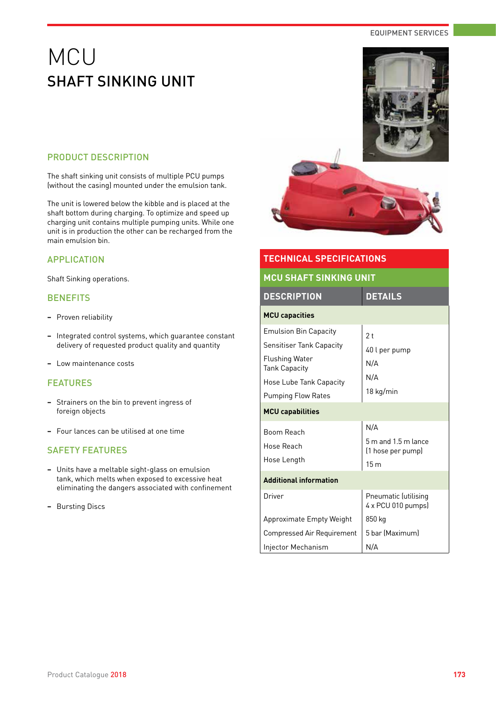## MCU SHAFT SINKING UNIT

### PRODUCT DESCRIPTION

The shaft sinking unit consists of multiple PCU pumps (without the casing) mounted under the emulsion tank.

The unit is lowered below the kibble and is placed at the shaft bottom during charging. To optimize and speed up charging unit contains multiple pumping units. While one unit is in production the other can be recharged from the main emulsion bin.

### APPLICATION

Shaft Sinking operations.

### **BENEFITS**

- **−** Proven reliability
- **−** Integrated control systems, which guarantee constant delivery of requested product quality and quantity
- **−** Low maintenance costs

### FEATURES

- **−** Strainers on the bin to prevent ingress of foreign objects
- **−** Four lances can be utilised at one time

- **−** Units have a meltable sight-glass on emulsion tank, which melts when exposed to excessive heat eliminating the dangers associated with confinement
- **−** Bursting Discs



| <b>TECHNICAL SPECIFICATIONS</b>                                                                                                                                                              |                                                                    |  |
|----------------------------------------------------------------------------------------------------------------------------------------------------------------------------------------------|--------------------------------------------------------------------|--|
| <b>MCU SHAFT SINKING UNIT</b>                                                                                                                                                                |                                                                    |  |
| <b>DESCRIPTION</b>                                                                                                                                                                           | <b>DETAILS</b>                                                     |  |
| <b>MCU capacities</b>                                                                                                                                                                        |                                                                    |  |
| <b>Emulsion Bin Capacity</b><br><b>Sensitiser Tank Capacity</b><br>Flushing Water<br><b>Tank Capacity</b><br>Hose Lube Tank Capacity<br><b>Pumping Flow Rates</b><br><b>MCU capabilities</b> | 2 <sub>t</sub><br>40 l per pump<br>N/A<br>N/A<br>18 kg/min         |  |
| <b>Boom Reach</b><br>Hose Reach<br>Hose Length                                                                                                                                               | N/A<br>5 m and 1.5 m lance<br>(1 hose per pump)<br>15 <sub>m</sub> |  |
| <b>Additional information</b>                                                                                                                                                                |                                                                    |  |
| Driver                                                                                                                                                                                       | Pneumatic (utilising<br>4 x PCU 010 pumps)                         |  |
| Approximate Empty Weight<br>Compressed Air Requirement                                                                                                                                       | 850 kg<br>5 bar (Maximum)                                          |  |
| Injector Mechanism                                                                                                                                                                           | N/A                                                                |  |